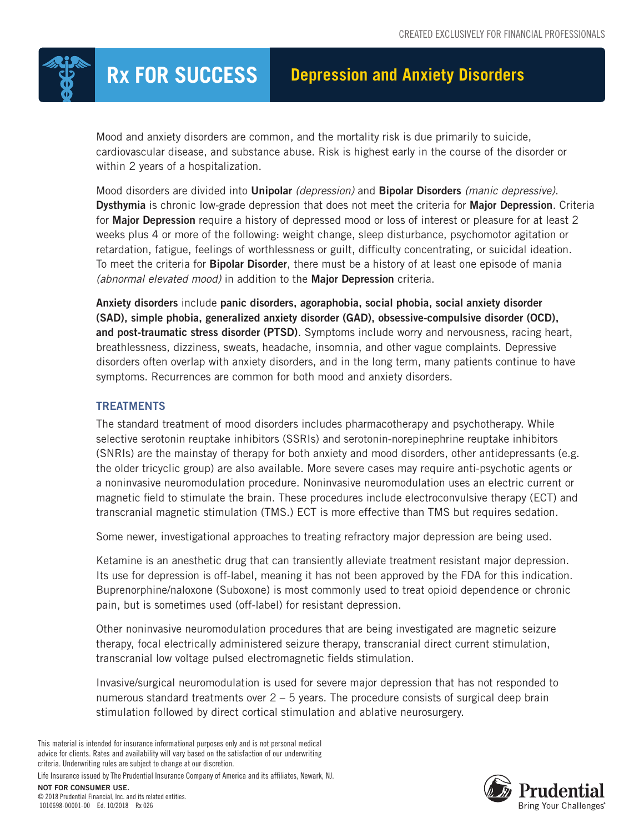

Mood and anxiety disorders are common, and the mortality risk is due primarily to suicide, cardiovascular disease, and substance abuse. Risk is highest early in the course of the disorder or within 2 years of a hospitalization.

Mood disorders are divided into Unipolar *(depression)* and Bipolar Disorders *(manic depressive)*. Dysthymia is chronic low-grade depression that does not meet the criteria for Major Depression. Criteria for Major Depression require a history of depressed mood or loss of interest or pleasure for at least 2 weeks plus 4 or more of the following: weight change, sleep disturbance, psychomotor agitation or retardation, fatigue, feelings of worthlessness or guilt, difficulty concentrating, or suicidal ideation. To meet the criteria for **Bipolar Disorder**, there must be a history of at least one episode of mania *(abnormal elevated mood)* in addition to the Major Depression criteria.

Anxiety disorders include panic disorders, agoraphobia, social phobia, social anxiety disorder (SAD), simple phobia, generalized anxiety disorder (GAD), obsessive-compulsive disorder (OCD), and post-traumatic stress disorder (PTSD). Symptoms include worry and nervousness, racing heart, breathlessness, dizziness, sweats, headache, insomnia, and other vague complaints. Depressive disorders often overlap with anxiety disorders, and in the long term, many patients continue to have symptoms. Recurrences are common for both mood and anxiety disorders.

## **TREATMENTS**

The standard treatment of mood disorders includes pharmacotherapy and psychotherapy. While selective serotonin reuptake inhibitors (SSRIs) and serotonin-norepinephrine reuptake inhibitors (SNRIs) are the mainstay of therapy for both anxiety and mood disorders, other antidepressants (e.g. the older tricyclic group) are also available. More severe cases may require anti-psychotic agents or a noninvasive neuromodulation procedure. Noninvasive neuromodulation uses an electric current or magnetic field to stimulate the brain. These procedures include electroconvulsive therapy (ECT) and transcranial magnetic stimulation (TMS.) ECT is more effective than TMS but requires sedation.

Some newer, investigational approaches to treating refractory major depression are being used.

Ketamine is an anesthetic drug that can transiently alleviate treatment resistant major depression. Its use for depression is off-label, meaning it has not been approved by the FDA for this indication. Buprenorphine/naloxone (Suboxone) is most commonly used to treat opioid dependence or chronic pain, but is sometimes used (off-label) for resistant depression.

Other noninvasive neuromodulation procedures that are being investigated are magnetic seizure therapy, focal electrically administered seizure therapy, transcranial direct current stimulation, transcranial low voltage pulsed electromagnetic fields stimulation.

Invasive/surgical neuromodulation is used for severe major depression that has not responded to numerous standard treatments over 2 – 5 years. The procedure consists of surgical deep brain stimulation followed by direct cortical stimulation and ablative neurosurgery.

This material is intended for insurance informational purposes only and is not personal medical advice for clients. Rates and availability will vary based on the satisfaction of our underwriting criteria. Underwriting rules are subject to change at our discretion.

Life Insurance issued by The Prudential Insurance Company of America and its affiliates, Newark, NJ.

NOT FOR CONSUMER USE. © 2018 Prudential Financial, Inc. and its related entities. 1010698-00001-00 Ed. 10/2018 Rx 026

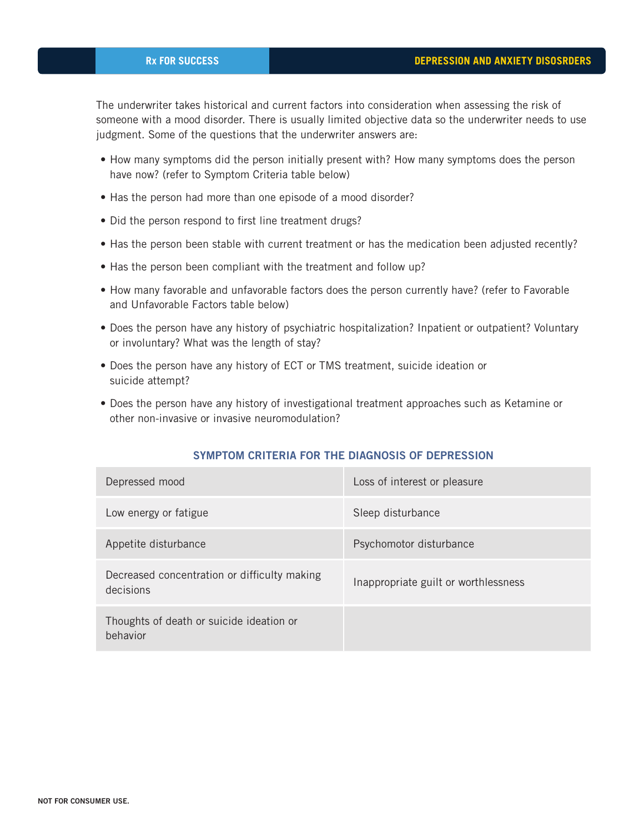The underwriter takes historical and current factors into consideration when assessing the risk of someone with a mood disorder. There is usually limited objective data so the underwriter needs to use judgment. Some of the questions that the underwriter answers are:

- How many symptoms did the person initially present with? How many symptoms does the person have now? (refer to Symptom Criteria table below)
- Has the person had more than one episode of a mood disorder?
- Did the person respond to first line treatment drugs?
- Has the person been stable with current treatment or has the medication been adjusted recently?
- Has the person been compliant with the treatment and follow up?
- How many favorable and unfavorable factors does the person currently have? (refer to Favorable and Unfavorable Factors table below)
- Does the person have any history of psychiatric hospitalization? Inpatient or outpatient? Voluntary or involuntary? What was the length of stay?
- Does the person have any history of ECT or TMS treatment, suicide ideation or suicide attempt?
- Does the person have any history of investigational treatment approaches such as Ketamine or other non-invasive or invasive neuromodulation?

## SYMPTOM CRITERIA FOR THE DIAGNOSIS OF DEPRESSION

| Depressed mood                                            | Loss of interest or pleasure         |
|-----------------------------------------------------------|--------------------------------------|
| Low energy or fatigue                                     | Sleep disturbance                    |
| Appetite disturbance                                      | Psychomotor disturbance              |
| Decreased concentration or difficulty making<br>decisions | Inappropriate guilt or worthlessness |
| Thoughts of death or suicide ideation or<br>behavior      |                                      |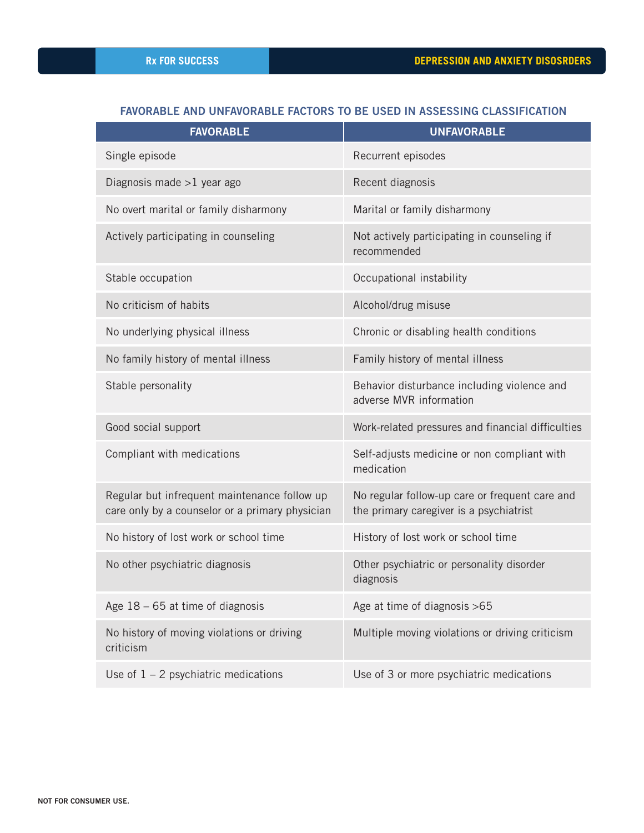## FAVORABLE AND UNFAVORABLE FACTORS TO BE USED IN ASSESSING CLASSIFICATION

| <b>FAVORABLE</b>                                                                                | <b>UNFAVORABLE</b>                                                                        |
|-------------------------------------------------------------------------------------------------|-------------------------------------------------------------------------------------------|
| Single episode                                                                                  | Recurrent episodes                                                                        |
| Diagnosis made $>1$ year ago                                                                    | Recent diagnosis                                                                          |
| No overt marital or family disharmony                                                           | Marital or family disharmony                                                              |
| Actively participating in counseling                                                            | Not actively participating in counseling if<br>recommended                                |
| Stable occupation                                                                               | Occupational instability                                                                  |
| No criticism of habits                                                                          | Alcohol/drug misuse                                                                       |
| No underlying physical illness                                                                  | Chronic or disabling health conditions                                                    |
| No family history of mental illness                                                             | Family history of mental illness                                                          |
| Stable personality                                                                              | Behavior disturbance including violence and<br>adverse MVR information                    |
| Good social support                                                                             | Work-related pressures and financial difficulties                                         |
| Compliant with medications                                                                      | Self-adjusts medicine or non compliant with<br>medication                                 |
| Regular but infrequent maintenance follow up<br>care only by a counselor or a primary physician | No regular follow-up care or frequent care and<br>the primary caregiver is a psychiatrist |
| No history of lost work or school time                                                          | History of lost work or school time                                                       |
| No other psychiatric diagnosis                                                                  | Other psychiatric or personality disorder<br>diagnosis                                    |
| Age $18 - 65$ at time of diagnosis                                                              | Age at time of diagnosis >65                                                              |
| No history of moving violations or driving<br>criticism                                         | Multiple moving violations or driving criticism                                           |
| Use of $1 - 2$ psychiatric medications                                                          | Use of 3 or more psychiatric medications                                                  |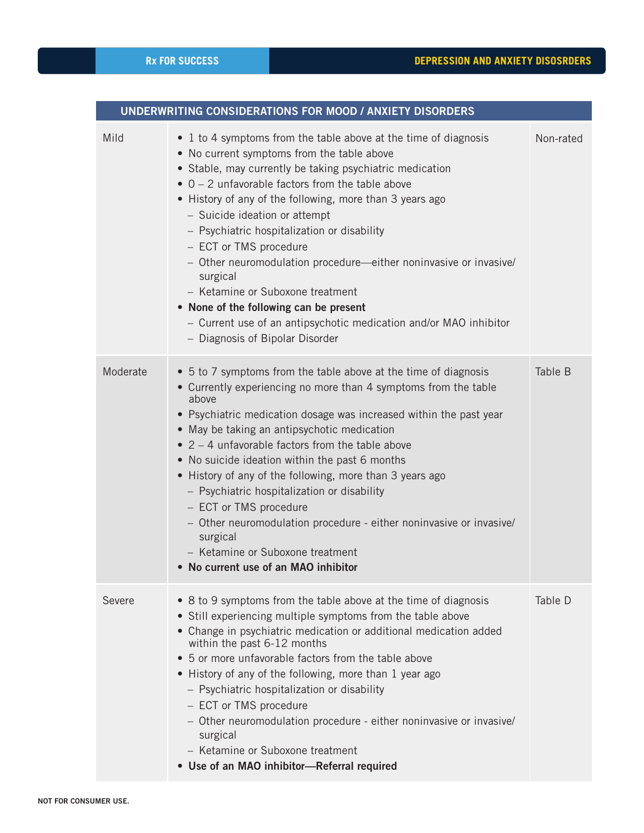| UNDERWRITING CONSIDERATIONS FOR MOOD / ANXIETY DISORDERS |                                                                                                                                                                                                                                                                                                                                                                                                                                                                                                                                                                                                                                                                                    |           |  |  |
|----------------------------------------------------------|------------------------------------------------------------------------------------------------------------------------------------------------------------------------------------------------------------------------------------------------------------------------------------------------------------------------------------------------------------------------------------------------------------------------------------------------------------------------------------------------------------------------------------------------------------------------------------------------------------------------------------------------------------------------------------|-----------|--|--|
| Mild                                                     | • 1 to 4 symptoms from the table above at the time of diagnosis<br>• No current symptoms from the table above<br>• Stable, may currently be taking psychiatric medication<br>$\bullet$ 0 – 2 unfavorable factors from the table above<br>• History of any of the following, more than 3 years ago<br>- Suicide ideation or attempt<br>- Psychiatric hospitalization or disability<br>- ECT or TMS procedure<br>- Other neuromodulation procedure—either noninvasive or invasive/<br>surgical<br>- Ketamine or Suboxone treatment<br>• None of the following can be present<br>- Current use of an antipsychotic medication and/or MAO inhibitor<br>- Diagnosis of Bipolar Disorder | Non-rated |  |  |
| Moderate                                                 | • 5 to 7 symptoms from the table above at the time of diagnosis<br>• Currently experiencing no more than 4 symptoms from the table<br>above<br>• Psychiatric medication dosage was increased within the past year<br>• May be taking an antipsychotic medication<br>$\bullet$ 2 - 4 unfavorable factors from the table above<br>• No suicide ideation within the past 6 months<br>• History of any of the following, more than 3 years ago<br>- Psychiatric hospitalization or disability<br>- ECT or TMS procedure<br>- Other neuromodulation procedure - either noninvasive or invasive/<br>surgical<br>- Ketamine or Suboxone treatment<br>• No current use of an MAO inhibitor | Table B   |  |  |
| Severe                                                   | • 8 to 9 symptoms from the table above at the time of diagnosis<br>• Still experiencing multiple symptoms from the table above<br>• Change in psychiatric medication or additional medication added<br>within the past 6-12 months<br>5 or more unfavorable factors from the table above<br>$\bullet$<br>• History of any of the following, more than 1 year ago<br>- Psychiatric hospitalization or disability<br>- ECT or TMS procedure<br>- Other neuromodulation procedure - either noninvasive or invasive/<br>surgical<br>- Ketamine or Suboxone treatment<br>• Use of an MAO inhibitor-Referral required                                                                    | Table D   |  |  |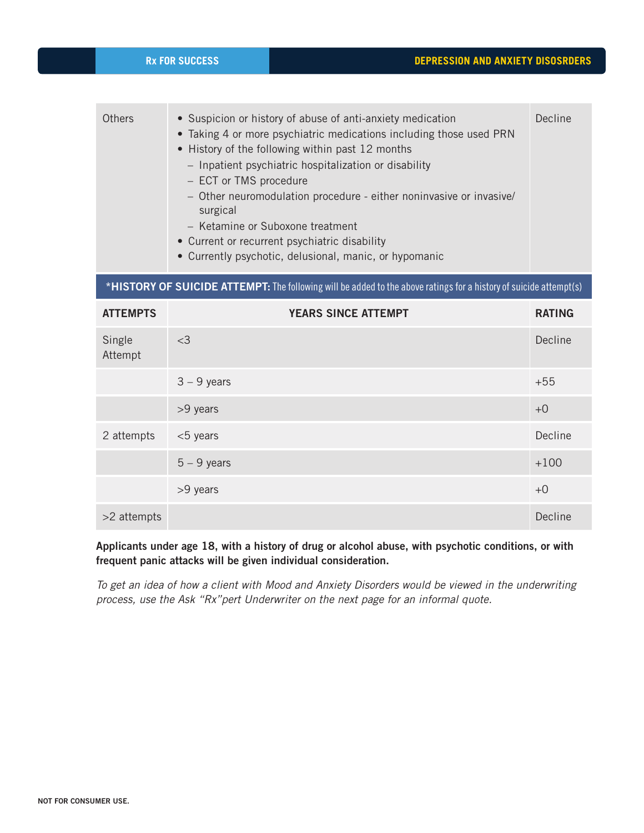| <b>Others</b>                                                                                                     | • Suspicion or history of abuse of anti-anxiety medication<br>• Taking 4 or more psychiatric medications including those used PRN<br>• History of the following within past 12 months<br>- Inpatient psychiatric hospitalization or disability<br>- ECT or TMS procedure<br>- Other neuromodulation procedure - either noninvasive or invasive/<br>surgical<br>- Ketamine or Suboxone treatment<br>• Current or recurrent psychiatric disability<br>• Currently psychotic, delusional, manic, or hypomanic | Decline       |  |  |
|-------------------------------------------------------------------------------------------------------------------|------------------------------------------------------------------------------------------------------------------------------------------------------------------------------------------------------------------------------------------------------------------------------------------------------------------------------------------------------------------------------------------------------------------------------------------------------------------------------------------------------------|---------------|--|--|
| *HISTORY OF SUICIDE ATTEMPT: The following will be added to the above ratings for a history of suicide attempt(s) |                                                                                                                                                                                                                                                                                                                                                                                                                                                                                                            |               |  |  |
| <b>ATTEMPTS</b>                                                                                                   | <b>YEARS SINCE ATTEMPT</b>                                                                                                                                                                                                                                                                                                                                                                                                                                                                                 | <b>RATING</b> |  |  |
| Single<br>Attempt                                                                                                 | $<$ 3                                                                                                                                                                                                                                                                                                                                                                                                                                                                                                      | Decline       |  |  |
|                                                                                                                   | $3 - 9$ years                                                                                                                                                                                                                                                                                                                                                                                                                                                                                              | $+55$         |  |  |
|                                                                                                                   | >9 years                                                                                                                                                                                                                                                                                                                                                                                                                                                                                                   | $+0$          |  |  |
| 2 attempts                                                                                                        | <5 years                                                                                                                                                                                                                                                                                                                                                                                                                                                                                                   | Decline       |  |  |
|                                                                                                                   | $5 - 9$ years                                                                                                                                                                                                                                                                                                                                                                                                                                                                                              | $+100$        |  |  |
|                                                                                                                   | >9 years                                                                                                                                                                                                                                                                                                                                                                                                                                                                                                   | $+0$          |  |  |
| >2 attempts                                                                                                       |                                                                                                                                                                                                                                                                                                                                                                                                                                                                                                            | Decline       |  |  |

Applicants under age 18, with a history of drug or alcohol abuse, with psychotic conditions, or with frequent panic attacks will be given individual consideration.

*To get an idea of how a client with Mood and Anxiety Disorders would be viewed in the underwriting process, use the Ask "Rx"pert Underwriter on the next page for an informal quote.*